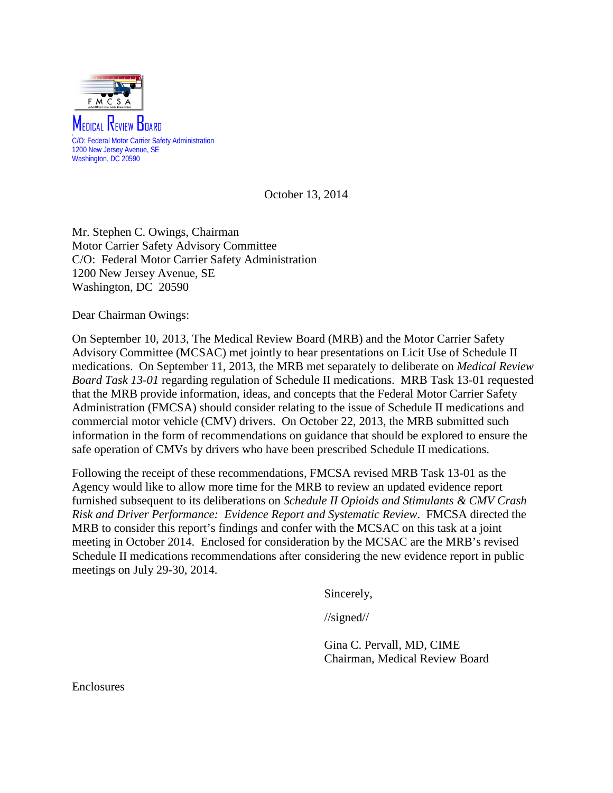

October 13, 2014

Mr. Stephen C. Owings, Chairman Motor Carrier Safety Advisory Committee C/O: Federal Motor Carrier Safety Administration 1200 New Jersey Avenue, SE Washington, DC 20590

Dear Chairman Owings:

On September 10, 2013, The Medical Review Board (MRB) and the Motor Carrier Safety Advisory Committee (MCSAC) met jointly to hear presentations on Licit Use of Schedule II medications. On September 11, 2013, the MRB met separately to deliberate on *Medical Review Board Task 13-01* regarding regulation of Schedule II medications. MRB Task 13-01 requested that the MRB provide information, ideas, and concepts that the Federal Motor Carrier Safety Administration (FMCSA) should consider relating to the issue of Schedule II medications and commercial motor vehicle (CMV) drivers. On October 22, 2013, the MRB submitted such information in the form of recommendations on guidance that should be explored to ensure the safe operation of CMVs by drivers who have been prescribed Schedule II medications.

Following the receipt of these recommendations, FMCSA revised MRB Task 13-01 as the Agency would like to allow more time for the MRB to review an updated evidence report furnished subsequent to its deliberations on *Schedule II Opioids and Stimulants & CMV Crash Risk and Driver Performance: Evidence Report and Systematic Review*. FMCSA directed the MRB to consider this report's findings and confer with the MCSAC on this task at a joint meeting in October 2014. Enclosed for consideration by the MCSAC are the MRB's revised Schedule II medications recommendations after considering the new evidence report in public meetings on July 29-30, 2014.

Sincerely,

//signed//

Gina C. Pervall, MD, CIME Chairman, Medical Review Board

Enclosures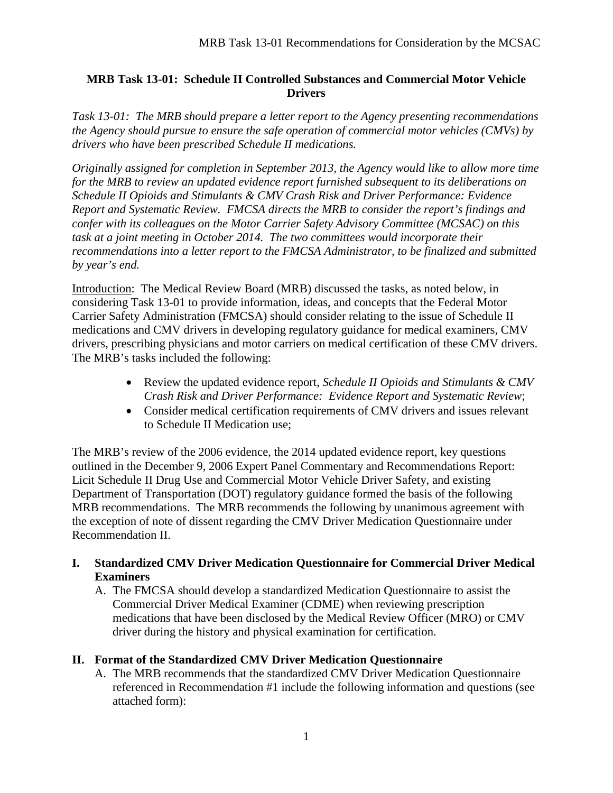### **MRB Task 13-01: Schedule II Controlled Substances and Commercial Motor Vehicle Drivers**

*Task 13-01: The MRB should prepare a letter report to the Agency presenting recommendations the Agency should pursue to ensure the safe operation of commercial motor vehicles (CMVs) by drivers who have been prescribed Schedule II medications.* 

*Originally assigned for completion in September 2013, the Agency would like to allow more time for the MRB to review an updated evidence report furnished subsequent to its deliberations on Schedule II Opioids and Stimulants & CMV Crash Risk and Driver Performance: Evidence Report and Systematic Review. FMCSA directs the MRB to consider the report's findings and confer with its colleagues on the Motor Carrier Safety Advisory Committee (MCSAC) on this task at a joint meeting in October 2014. The two committees would incorporate their recommendations into a letter report to the FMCSA Administrator, to be finalized and submitted by year's end.*

Introduction: The Medical Review Board (MRB) discussed the tasks, as noted below, in considering Task 13-01 to provide information, ideas, and concepts that the Federal Motor Carrier Safety Administration (FMCSA) should consider relating to the issue of Schedule II medications and CMV drivers in developing regulatory guidance for medical examiners, CMV drivers, prescribing physicians and motor carriers on medical certification of these CMV drivers. The MRB's tasks included the following:

- Review the updated evidence report, *Schedule II Opioids and Stimulants & CMV Crash Risk and Driver Performance: Evidence Report and Systematic Review*;
- Consider medical certification requirements of CMV drivers and issues relevant to Schedule II Medication use;

The MRB's review of the 2006 evidence, the 2014 updated evidence report, key questions outlined in the December 9, 2006 Expert Panel Commentary and Recommendations Report: Licit Schedule II Drug Use and Commercial Motor Vehicle Driver Safety, and existing Department of Transportation (DOT) regulatory guidance formed the basis of the following MRB recommendations. The MRB recommends the following by unanimous agreement with the exception of note of dissent regarding the CMV Driver Medication Questionnaire under Recommendation II.

### **I. Standardized CMV Driver Medication Questionnaire for Commercial Driver Medical Examiners**

A. The FMCSA should develop a standardized Medication Questionnaire to assist the Commercial Driver Medical Examiner (CDME) when reviewing prescription medications that have been disclosed by the Medical Review Officer (MRO) or CMV driver during the history and physical examination for certification.

### **II. Format of the Standardized CMV Driver Medication Questionnaire**

A. The MRB recommends that the standardized CMV Driver Medication Questionnaire referenced in Recommendation #1 include the following information and questions (see attached form):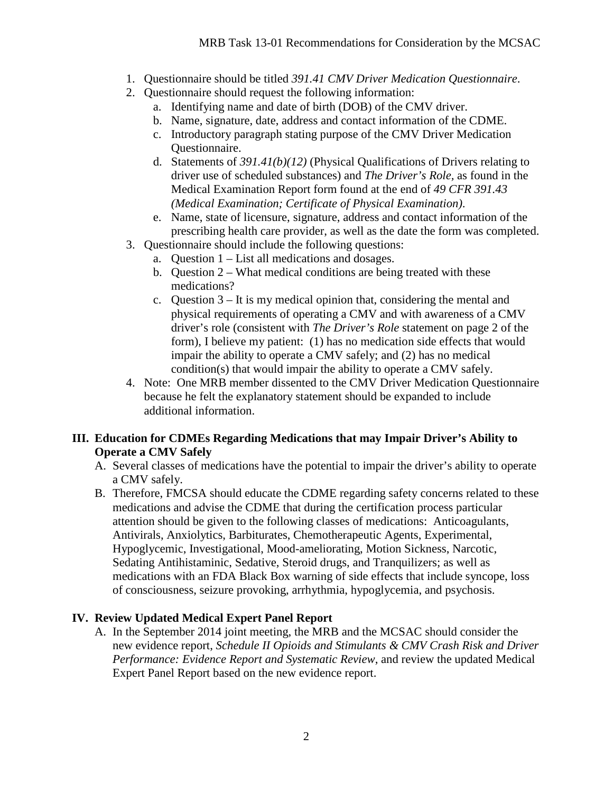- 1. Questionnaire should be titled *391.41 CMV Driver Medication Questionnaire*.
- 2. Questionnaire should request the following information:
	- a. Identifying name and date of birth (DOB) of the CMV driver.
	- b. Name, signature, date, address and contact information of the CDME.
	- c. Introductory paragraph stating purpose of the CMV Driver Medication Questionnaire.
	- d. Statements of *391.41(b)(12)* (Physical Qualifications of Drivers relating to driver use of scheduled substances) and *The Driver's Role,* as found in the Medical Examination Report form found at the end of *49 CFR 391.43 (Medical Examination; Certificate of Physical Examination)*.
	- e. Name, state of licensure, signature, address and contact information of the prescribing health care provider, as well as the date the form was completed.
- 3. Questionnaire should include the following questions:
	- a. Question 1 List all medications and dosages.
	- b. Question 2 What medical conditions are being treated with these medications?
	- c. Question 3 It is my medical opinion that, considering the mental and physical requirements of operating a CMV and with awareness of a CMV driver's role (consistent with *The Driver's Role* statement on page 2 of the form), I believe my patient: (1) has no medication side effects that would impair the ability to operate a CMV safely; and (2) has no medical condition(s) that would impair the ability to operate a CMV safely.
- 4. Note: One MRB member dissented to the CMV Driver Medication Questionnaire because he felt the explanatory statement should be expanded to include additional information.

### **III. Education for CDMEs Regarding Medications that may Impair Driver's Ability to Operate a CMV Safely**

- A. Several classes of medications have the potential to impair the driver's ability to operate a CMV safely.
- B. Therefore, FMCSA should educate the CDME regarding safety concerns related to these medications and advise the CDME that during the certification process particular attention should be given to the following classes of medications: Anticoagulants, Antivirals, Anxiolytics, Barbiturates, Chemotherapeutic Agents, Experimental, Hypoglycemic, Investigational, Mood-ameliorating, Motion Sickness, Narcotic, Sedating Antihistaminic, Sedative, Steroid drugs, and Tranquilizers; as well as medications with an FDA Black Box warning of side effects that include syncope, loss of consciousness, seizure provoking, arrhythmia, hypoglycemia, and psychosis.

### **IV. Review Updated Medical Expert Panel Report**

A. In the September 2014 joint meeting, the MRB and the MCSAC should consider the new evidence report, *Schedule II Opioids and Stimulants & CMV Crash Risk and Driver Performance: Evidence Report and Systematic Review*, and review the updated Medical Expert Panel Report based on the new evidence report.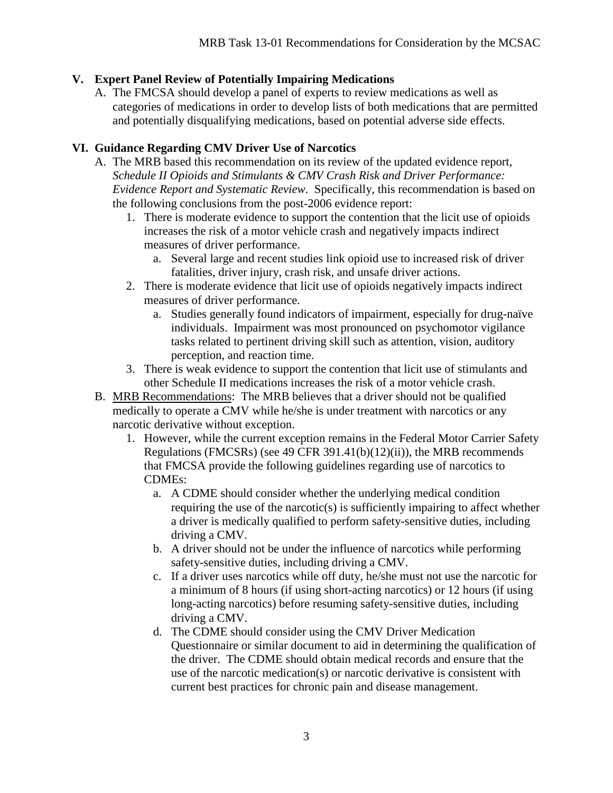# **V. Expert Panel Review of Potentially Impairing Medications**

A. The FMCSA should develop a panel of experts to review medications as well as categories of medications in order to develop lists of both medications that are permitted and potentially disqualifying medications, based on potential adverse side effects.

# **VI. Guidance Regarding CMV Driver Use of Narcotics**

- A. The MRB based this recommendation on its review of the updated evidence report, *Schedule II Opioids and Stimulants & CMV Crash Risk and Driver Performance: Evidence Report and Systematic Review*. Specifically, this recommendation is based on the following conclusions from the post-2006 evidence report:
	- 1. There is moderate evidence to support the contention that the licit use of opioids increases the risk of a motor vehicle crash and negatively impacts indirect measures of driver performance.
		- a. Several large and recent studies link opioid use to increased risk of driver fatalities, driver injury, crash risk, and unsafe driver actions.
	- 2. There is moderate evidence that licit use of opioids negatively impacts indirect measures of driver performance.
		- a. Studies generally found indicators of impairment, especially for drug-naïve individuals. Impairment was most pronounced on psychomotor vigilance tasks related to pertinent driving skill such as attention, vision, auditory perception, and reaction time.
	- 3. There is weak evidence to support the contention that licit use of stimulants and other Schedule II medications increases the risk of a motor vehicle crash.
- B. MRB Recommendations: The MRB believes that a driver should not be qualified medically to operate a CMV while he/she is under treatment with narcotics or any narcotic derivative without exception.
	- 1. However, while the current exception remains in the Federal Motor Carrier Safety Regulations (FMCSRs) (see 49 CFR 391.41(b) $(12)(ii)$ ), the MRB recommends that FMCSA provide the following guidelines regarding use of narcotics to CDMEs:
		- a. A CDME should consider whether the underlying medical condition requiring the use of the narcotic(s) is sufficiently impairing to affect whether a driver is medically qualified to perform safety-sensitive duties, including driving a CMV.
		- b. A driver should not be under the influence of narcotics while performing safety-sensitive duties, including driving a CMV.
		- c. If a driver uses narcotics while off duty, he/she must not use the narcotic for a minimum of 8 hours (if using short-acting narcotics) or 12 hours (if using long-acting narcotics) before resuming safety-sensitive duties, including driving a CMV.
		- d. The CDME should consider using the CMV Driver Medication Questionnaire or similar document to aid in determining the qualification of the driver. The CDME should obtain medical records and ensure that the use of the narcotic medication(s) or narcotic derivative is consistent with current best practices for chronic pain and disease management.